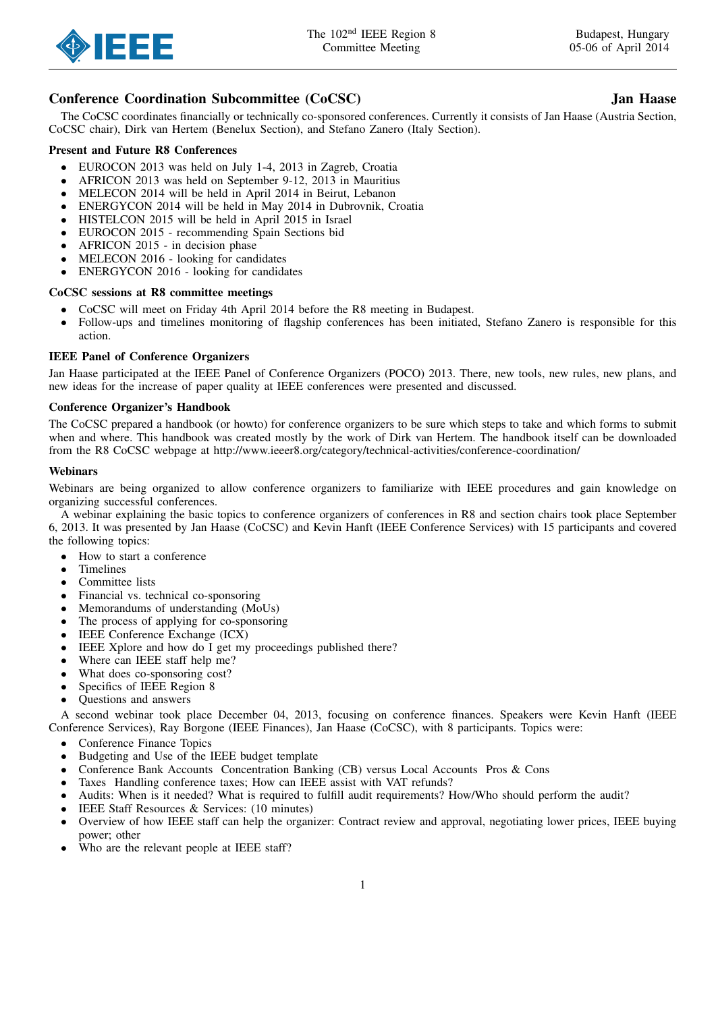# Conference Coordination Subcommittee (CoCSC) Jan Haase

The CoCSC coordinates financially or technically co-sponsored conferences. Currently it consists of Jan Haase (Austria Section, CoCSC chair), Dirk van Hertem (Benelux Section), and Stefano Zanero (Italy Section).

### Present and Future R8 Conferences

- EUROCON 2013 was held on July 1-4, 2013 in Zagreb, Croatia
- AFRICON 2013 was held on September 9-12, 2013 in Mauritius
- MELECON 2014 will be held in April 2014 in Beirut, Lebanon
- ENERGYCON 2014 will be held in May 2014 in Dubrovnik, Croatia
- HISTELCON 2015 will be held in April 2015 in Israel
- EUROCON 2015 recommending Spain Sections bid
- AFRICON 2015 in decision phase
- MELECON 2016 looking for candidates
- ENERGYCON 2016 looking for candidates

### CoCSC sessions at R8 committee meetings

- CoCSC will meet on Friday 4th April 2014 before the R8 meeting in Budapest.
- Follow-ups and timelines monitoring of flagship conferences has been initiated, Stefano Zanero is responsible for this action.

# IEEE Panel of Conference Organizers

Jan Haase participated at the IEEE Panel of Conference Organizers (POCO) 2013. There, new tools, new rules, new plans, and new ideas for the increase of paper quality at IEEE conferences were presented and discussed.

### Conference Organizer's Handbook

The CoCSC prepared a handbook (or howto) for conference organizers to be sure which steps to take and which forms to submit when and where. This handbook was created mostly by the work of Dirk van Hertem. The handbook itself can be downloaded from the R8 CoCSC webpage at http://www.ieeer8.org/category/technical-activities/conference-coordination/

### Webinars

Webinars are being organized to allow conference organizers to familiarize with IEEE procedures and gain knowledge on organizing successful conferences.

A webinar explaining the basic topics to conference organizers of conferences in R8 and section chairs took place September 6, 2013. It was presented by Jan Haase (CoCSC) and Kevin Hanft (IEEE Conference Services) with 15 participants and covered the following topics:

- How to start a conference
- **Timelines**
- Committee lists
- Financial vs. technical co-sponsoring
- Memorandums of understanding (MoUs)
- The process of applying for co-sponsoring
- IEEE Conference Exchange (ICX)
- IEEE Xplore and how do I get my proceedings published there?
- Where can IEEE staff help me?
- What does co-sponsoring cost?
- Specifics of IEEE Region 8
- Questions and answers

A second webinar took place December 04, 2013, focusing on conference finances. Speakers were Kevin Hanft (IEEE Conference Services), Ray Borgone (IEEE Finances), Jan Haase (CoCSC), with 8 participants. Topics were:

- Conference Finance Topics
- Budgeting and Use of the IEEE budget template
- Conference Bank Accounts Concentration Banking (CB) versus Local Accounts Pros & Cons
- Taxes Handling conference taxes; How can IEEE assist with VAT refunds?
- Audits: When is it needed? What is required to fulfill audit requirements? How/Who should perform the audit?
- IEEE Staff Resources & Services: (10 minutes)
- Overview of how IEEE staff can help the organizer: Contract review and approval, negotiating lower prices, IEEE buying power; other
- Who are the relevant people at IEEE staff?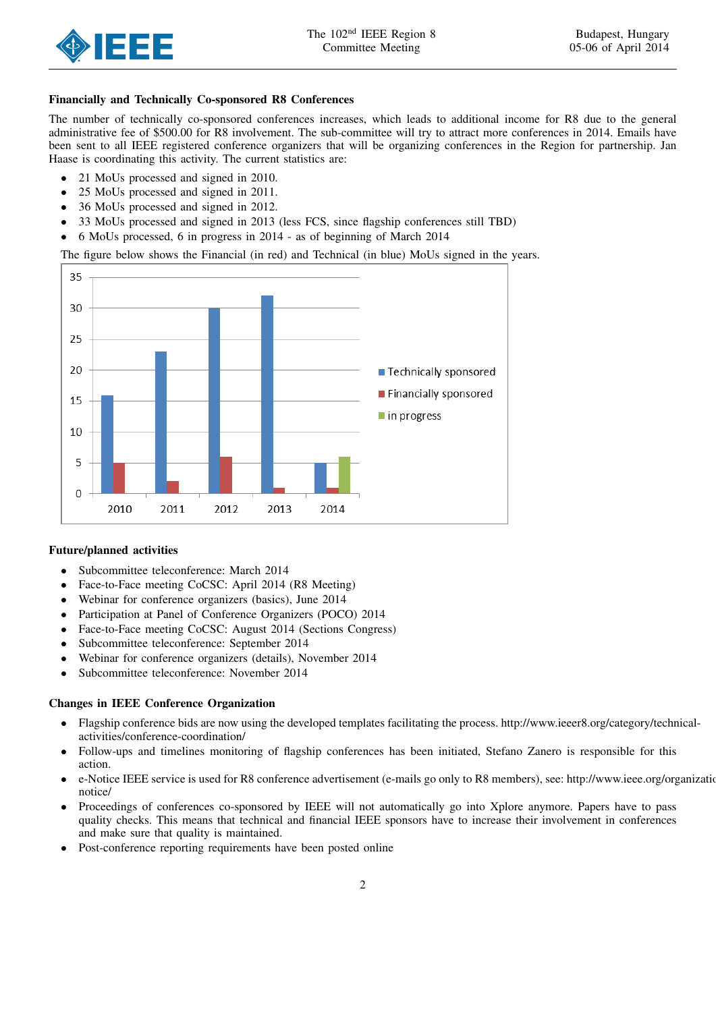## Financially and Technically Co-sponsored R8 Conferences

The number of technically co-sponsored conferences increases, which leads to additional income for R8 due to the general administrative fee of \$500.00 for R8 involvement. The sub-committee will try to attract more conferences in 2014. Emails have been sent to all IEEE registered conference organizers that will be organizing conferences in the Region for partnership. Jan Haase is coordinating this activity. The current statistics are:

- 21 MoUs processed and signed in 2010.
- 25 MoUs processed and signed in 2011.
- 36 MoUs processed and signed in 2012.
- 33 MoUs processed and signed in 2013 (less FCS, since flagship conferences still TBD)
- 6 MoUs processed, 6 in progress in 2014 as of beginning of March 2014

The figure below shows the Financial (in red) and Technical (in blue) MoUs signed in the years.



# Future/planned activities

- Subcommittee teleconference: March 2014
- Face-to-Face meeting CoCSC: April 2014 (R8 Meeting)
- Webinar for conference organizers (basics), June 2014
- Participation at Panel of Conference Organizers (POCO) 2014
- Face-to-Face meeting CoCSC: August 2014 (Sections Congress)
- Subcommittee teleconference: September 2014
- Webinar for conference organizers (details), November 2014
- Subcommittee teleconference: November 2014

# Changes in IEEE Conference Organization

- Flagship conference bids are now using the developed templates facilitating the process. http://www.ieeer8.org/category/technicalactivities/conference-coordination/
- Follow-ups and timelines monitoring of flagship conferences has been initiated, Stefano Zanero is responsible for this action.
- e-Notice IEEE service is used for R8 conference advertisement (e-mails go only to R8 members), see: http://www.ieee.org/organizations/volusnotice/
- Proceedings of conferences co-sponsored by IEEE will not automatically go into Xplore anymore. Papers have to pass quality checks. This means that technical and financial IEEE sponsors have to increase their involvement in conferences and make sure that quality is maintained.
- Post-conference reporting requirements have been posted online